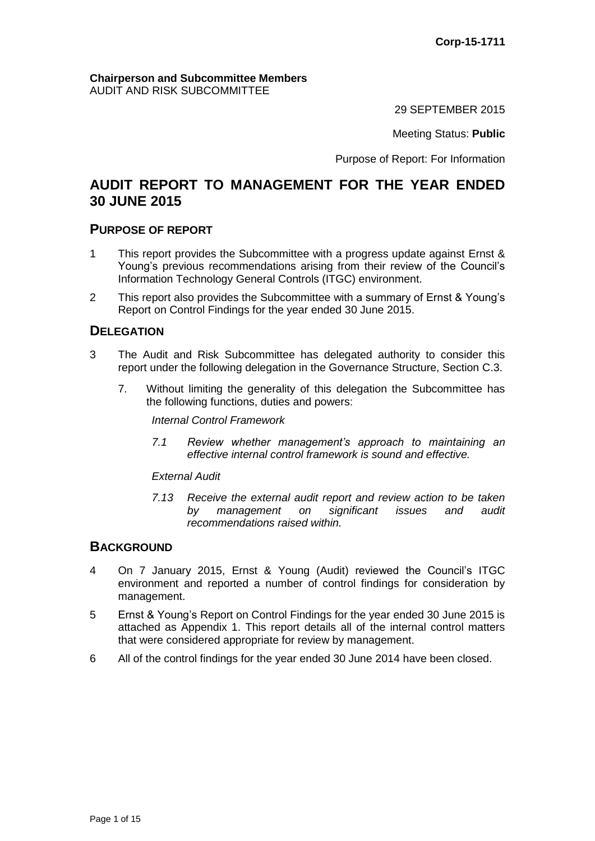#### **Chairperson and Subcommittee Members** AUDIT AND RISK SUBCOMMITTEE

29 SEPTEMBER 2015

Meeting Status: **Public**

Purpose of Report: For Information

# **AUDIT REPORT TO MANAGEMENT FOR THE YEAR ENDED 30 JUNE 2015**

### **PURPOSE OF REPORT**

- 1 This report provides the Subcommittee with a progress update against Ernst & Young's previous recommendations arising from their review of the Council's Information Technology General Controls (ITGC) environment.
- 2 This report also provides the Subcommittee with a summary of Ernst & Young's Report on Control Findings for the year ended 30 June 2015.

## **DELEGATION**

- 3 The Audit and Risk Subcommittee has delegated authority to consider this report under the following delegation in the Governance Structure, Section C.3.
	- 7. Without limiting the generality of this delegation the Subcommittee has the following functions, duties and powers:

*Internal Control Framework*

*7.1 Review whether management's approach to maintaining an effective internal control framework is sound and effective.*

*External Audit*

*7.13 Receive the external audit report and review action to be taken by management on significant issues and audit recommendations raised within.*

## **BACKGROUND**

- 4 On 7 January 2015, Ernst & Young (Audit) reviewed the Council's ITGC environment and reported a number of control findings for consideration by management.
- 5 Ernst & Young's Report on Control Findings for the year ended 30 June 2015 is attached as Appendix 1. This report details all of the internal control matters that were considered appropriate for review by management.
- 6 All of the control findings for the year ended 30 June 2014 have been closed.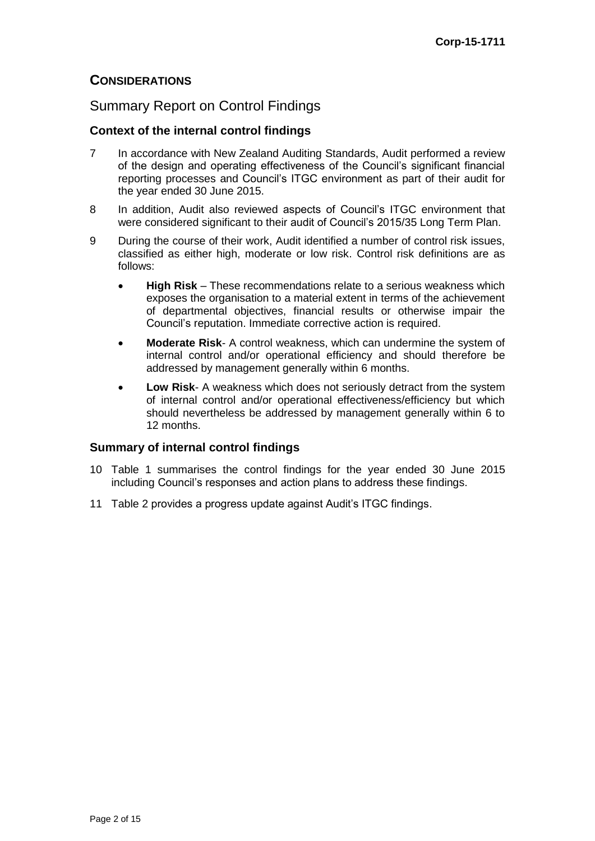## **CONSIDERATIONS**

## Summary Report on Control Findings

### **Context of the internal control findings**

- 7 In accordance with New Zealand Auditing Standards, Audit performed a review of the design and operating effectiveness of the Council's significant financial reporting processes and Council's ITGC environment as part of their audit for the year ended 30 June 2015.
- 8 In addition, Audit also reviewed aspects of Council's ITGC environment that were considered significant to their audit of Council's 2015/35 Long Term Plan.
- 9 During the course of their work, Audit identified a number of control risk issues, classified as either high, moderate or low risk. Control risk definitions are as follows:
	- **High Risk** These recommendations relate to a serious weakness which exposes the organisation to a material extent in terms of the achievement of departmental objectives, financial results or otherwise impair the Council's reputation. Immediate corrective action is required.
	- **Moderate Risk** A control weakness, which can undermine the system of internal control and/or operational efficiency and should therefore be addressed by management generally within 6 months.
	- **Low Risk** A weakness which does not seriously detract from the system of internal control and/or operational effectiveness/efficiency but which should nevertheless be addressed by management generally within 6 to 12 months.

#### **Summary of internal control findings**

- 10 Table 1 summarises the control findings for the year ended 30 June 2015 including Council's responses and action plans to address these findings.
- 11 Table 2 provides a progress update against Audit's ITGC findings.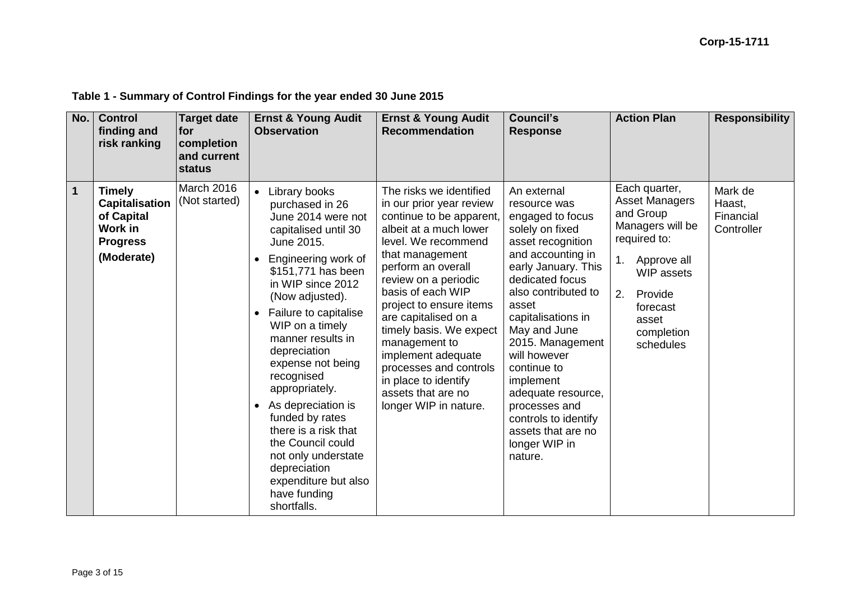| No.         | <b>Control</b><br>finding and<br>risk ranking                                                    | <b>Target date</b><br>for<br>completion<br>and current<br>status | <b>Ernst &amp; Young Audit</b><br><b>Observation</b>                                                                                                                                                                                                                                                                                                                                                                                                                                                                                               | <b>Ernst &amp; Young Audit</b><br><b>Recommendation</b>                                                                                                                                                                                                                                                                                                                                                                                      | <b>Council's</b><br><b>Response</b>                                                                                                                                                                                                                                                                                                                                                                           | <b>Action Plan</b>                                                                                                                                                                                 | <b>Responsibility</b>                        |
|-------------|--------------------------------------------------------------------------------------------------|------------------------------------------------------------------|----------------------------------------------------------------------------------------------------------------------------------------------------------------------------------------------------------------------------------------------------------------------------------------------------------------------------------------------------------------------------------------------------------------------------------------------------------------------------------------------------------------------------------------------------|----------------------------------------------------------------------------------------------------------------------------------------------------------------------------------------------------------------------------------------------------------------------------------------------------------------------------------------------------------------------------------------------------------------------------------------------|---------------------------------------------------------------------------------------------------------------------------------------------------------------------------------------------------------------------------------------------------------------------------------------------------------------------------------------------------------------------------------------------------------------|----------------------------------------------------------------------------------------------------------------------------------------------------------------------------------------------------|----------------------------------------------|
| $\mathbf 1$ | <b>Timely</b><br><b>Capitalisation</b><br>of Capital<br>Work in<br><b>Progress</b><br>(Moderate) | March 2016<br>(Not started)                                      | Library books<br>$\bullet$<br>purchased in 26<br>June 2014 were not<br>capitalised until 30<br>June 2015.<br>Engineering work of<br>\$151,771 has been<br>in WIP since 2012<br>(Now adjusted).<br>Failure to capitalise<br>$\bullet$<br>WIP on a timely<br>manner results in<br>depreciation<br>expense not being<br>recognised<br>appropriately.<br>As depreciation is<br>$\bullet$<br>funded by rates<br>there is a risk that<br>the Council could<br>not only understate<br>depreciation<br>expenditure but also<br>have funding<br>shortfalls. | The risks we identified<br>in our prior year review<br>continue to be apparent,<br>albeit at a much lower<br>level. We recommend<br>that management<br>perform an overall<br>review on a periodic<br>basis of each WIP<br>project to ensure items<br>are capitalised on a<br>timely basis. We expect<br>management to<br>implement adequate<br>processes and controls<br>in place to identify<br>assets that are no<br>longer WIP in nature. | An external<br>resource was<br>engaged to focus<br>solely on fixed<br>asset recognition<br>and accounting in<br>early January. This<br>dedicated focus<br>also contributed to<br>asset<br>capitalisations in<br>May and June<br>2015. Management<br>will however<br>continue to<br>implement<br>adequate resource,<br>processes and<br>controls to identify<br>assets that are no<br>longer WIP in<br>nature. | Each quarter,<br><b>Asset Managers</b><br>and Group<br>Managers will be<br>required to:<br>1.<br>Approve all<br><b>WIP</b> assets<br>2.<br>Provide<br>forecast<br>asset<br>completion<br>schedules | Mark de<br>Haast,<br>Financial<br>Controller |

# **Table 1 - Summary of Control Findings for the year ended 30 June 2015**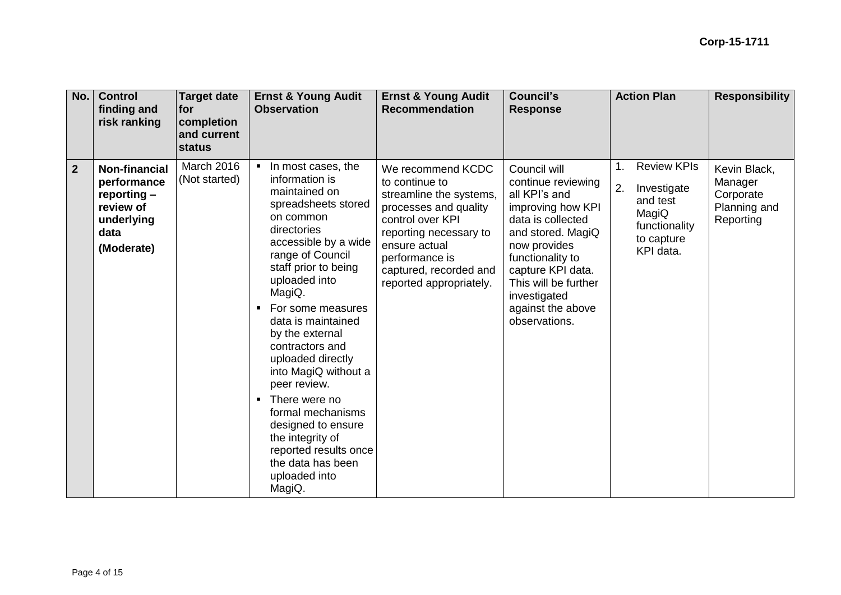| No.            | <b>Control</b><br>finding and<br>risk ranking                                                         | <b>Target date</b><br><b>for</b><br>completion<br>and current<br>status | <b>Ernst &amp; Young Audit</b><br><b>Observation</b>                                                                                                                                                                                                                                                                                                                                                                                                                                                                             | <b>Ernst &amp; Young Audit</b><br><b>Recommendation</b>                                                                                                                                                                       | <b>Council's</b><br><b>Response</b>                                                                                                                                                                                                                       | <b>Action Plan</b>                                                                                       | <b>Responsibility</b>                                             |
|----------------|-------------------------------------------------------------------------------------------------------|-------------------------------------------------------------------------|----------------------------------------------------------------------------------------------------------------------------------------------------------------------------------------------------------------------------------------------------------------------------------------------------------------------------------------------------------------------------------------------------------------------------------------------------------------------------------------------------------------------------------|-------------------------------------------------------------------------------------------------------------------------------------------------------------------------------------------------------------------------------|-----------------------------------------------------------------------------------------------------------------------------------------------------------------------------------------------------------------------------------------------------------|----------------------------------------------------------------------------------------------------------|-------------------------------------------------------------------|
| $\overline{2}$ | <b>Non-financial</b><br>performance<br>reporting $-$<br>review of<br>underlying<br>data<br>(Moderate) | March 2016<br>(Not started)                                             | In most cases, the<br>information is<br>maintained on<br>spreadsheets stored<br>on common<br>directories<br>accessible by a wide<br>range of Council<br>staff prior to being<br>uploaded into<br>MagiQ.<br>For some measures<br>data is maintained<br>by the external<br>contractors and<br>uploaded directly<br>into MagiQ without a<br>peer review.<br>There were no<br>$\blacksquare$<br>formal mechanisms<br>designed to ensure<br>the integrity of<br>reported results once<br>the data has been<br>uploaded into<br>MagiQ. | We recommend KCDC<br>to continue to<br>streamline the systems,<br>processes and quality<br>control over KPI<br>reporting necessary to<br>ensure actual<br>performance is<br>captured, recorded and<br>reported appropriately. | Council will<br>continue reviewing<br>all KPI's and<br>improving how KPI<br>data is collected<br>and stored. MagiQ<br>now provides<br>functionality to<br>capture KPI data.<br>This will be further<br>investigated<br>against the above<br>observations. | <b>Review KPIs</b><br>2.<br>Investigate<br>and test<br>MagiQ<br>functionality<br>to capture<br>KPI data. | Kevin Black,<br>Manager<br>Corporate<br>Planning and<br>Reporting |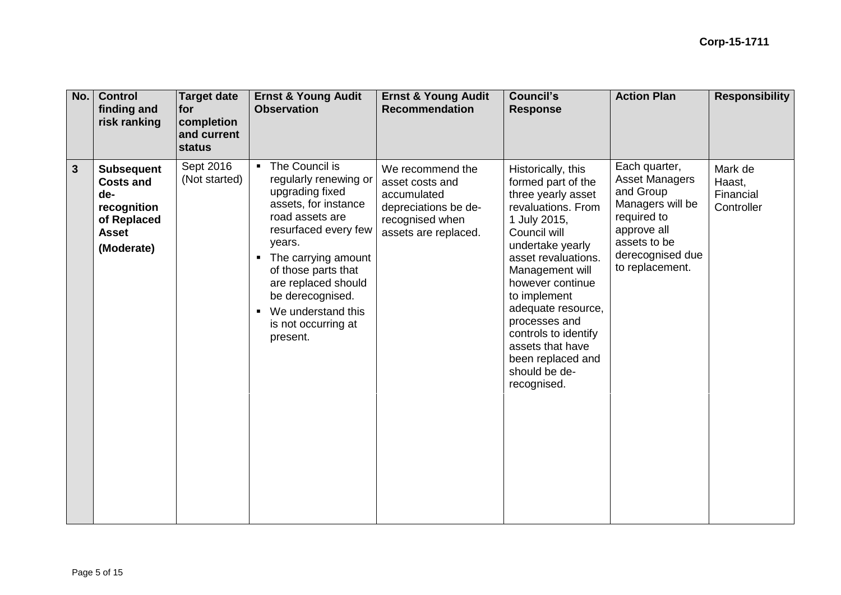| No.                     | <b>Control</b><br>finding and<br>risk ranking                                                            | <b>Target date</b><br>for<br>completion<br>and current<br>status | <b>Ernst &amp; Young Audit</b><br><b>Observation</b>                                                                                                                                                                                                                                                                            | <b>Ernst &amp; Young Audit</b><br><b>Recommendation</b>                                                               | <b>Council's</b><br><b>Response</b>                                                                                                                                                                                                                                                                                                                            | <b>Action Plan</b>                                                                                                                                           | <b>Responsibility</b>                        |
|-------------------------|----------------------------------------------------------------------------------------------------------|------------------------------------------------------------------|---------------------------------------------------------------------------------------------------------------------------------------------------------------------------------------------------------------------------------------------------------------------------------------------------------------------------------|-----------------------------------------------------------------------------------------------------------------------|----------------------------------------------------------------------------------------------------------------------------------------------------------------------------------------------------------------------------------------------------------------------------------------------------------------------------------------------------------------|--------------------------------------------------------------------------------------------------------------------------------------------------------------|----------------------------------------------|
| $\overline{\mathbf{3}}$ | <b>Subsequent</b><br><b>Costs and</b><br>de-<br>recognition<br>of Replaced<br><b>Asset</b><br>(Moderate) | Sept 2016<br>(Not started)                                       | • The Council is<br>regularly renewing or<br>upgrading fixed<br>assets, for instance<br>road assets are<br>resurfaced every few<br>years.<br>The carrying amount<br>$\blacksquare$<br>of those parts that<br>are replaced should<br>be derecognised.<br>We understand this<br>$\blacksquare$<br>is not occurring at<br>present. | We recommend the<br>asset costs and<br>accumulated<br>depreciations be de-<br>recognised when<br>assets are replaced. | Historically, this<br>formed part of the<br>three yearly asset<br>revaluations. From<br>1 July 2015,<br>Council will<br>undertake yearly<br>asset revaluations.<br>Management will<br>however continue<br>to implement<br>adequate resource,<br>processes and<br>controls to identify<br>assets that have<br>been replaced and<br>should be de-<br>recognised. | Each quarter,<br><b>Asset Managers</b><br>and Group<br>Managers will be<br>required to<br>approve all<br>assets to be<br>derecognised due<br>to replacement. | Mark de<br>Haast,<br>Financial<br>Controller |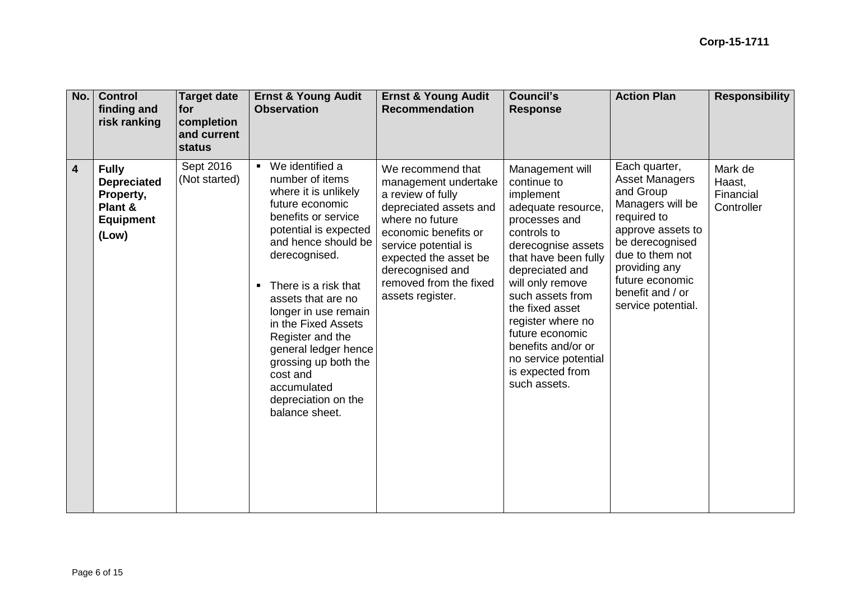| No.                     | <b>Control</b><br>finding and<br>risk ranking                                           | <b>Target date</b><br><b>for</b><br>completion<br>and current<br>status | <b>Ernst &amp; Young Audit</b><br><b>Observation</b>                                                                                                                                                                                                                                                                                                                                                                         | <b>Ernst &amp; Young Audit</b><br><b>Recommendation</b>                                                                                                                                                                                                | <b>Council's</b><br><b>Response</b>                                                                                                                                                                                                                                                                                                                     | <b>Action Plan</b>                                                                                                                                                                                                              | <b>Responsibility</b>                        |
|-------------------------|-----------------------------------------------------------------------------------------|-------------------------------------------------------------------------|------------------------------------------------------------------------------------------------------------------------------------------------------------------------------------------------------------------------------------------------------------------------------------------------------------------------------------------------------------------------------------------------------------------------------|--------------------------------------------------------------------------------------------------------------------------------------------------------------------------------------------------------------------------------------------------------|---------------------------------------------------------------------------------------------------------------------------------------------------------------------------------------------------------------------------------------------------------------------------------------------------------------------------------------------------------|---------------------------------------------------------------------------------------------------------------------------------------------------------------------------------------------------------------------------------|----------------------------------------------|
| $\overline{\mathbf{4}}$ | <b>Fully</b><br><b>Depreciated</b><br>Property,<br>Plant &<br><b>Equipment</b><br>(Low) | Sept 2016<br>(Not started)                                              | We identified a<br>number of items<br>where it is unlikely<br>future economic<br>benefits or service<br>potential is expected<br>and hence should be<br>derecognised.<br>There is a risk that<br>$\blacksquare$<br>assets that are no<br>longer in use remain<br>in the Fixed Assets<br>Register and the<br>general ledger hence<br>grossing up both the<br>cost and<br>accumulated<br>depreciation on the<br>balance sheet. | We recommend that<br>management undertake<br>a review of fully<br>depreciated assets and<br>where no future<br>economic benefits or<br>service potential is<br>expected the asset be<br>derecognised and<br>removed from the fixed<br>assets register. | Management will<br>continue to<br>implement<br>adequate resource,<br>processes and<br>controls to<br>derecognise assets<br>that have been fully<br>depreciated and<br>will only remove<br>such assets from<br>the fixed asset<br>register where no<br>future economic<br>benefits and/or or<br>no service potential<br>is expected from<br>such assets. | Each quarter,<br><b>Asset Managers</b><br>and Group<br>Managers will be<br>required to<br>approve assets to<br>be derecognised<br>due to them not<br>providing any<br>future economic<br>benefit and / or<br>service potential. | Mark de<br>Haast,<br>Financial<br>Controller |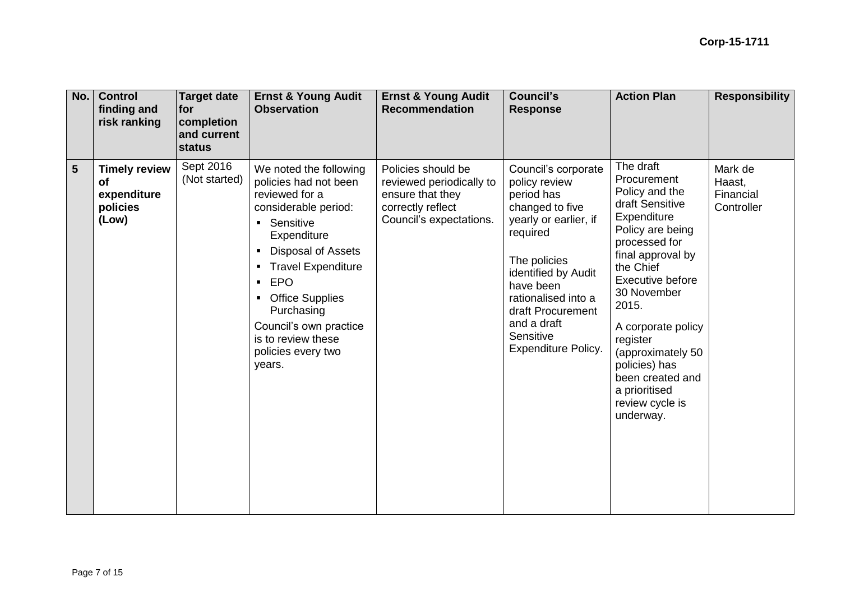| <b>No.</b>     | <b>Control</b><br>finding and<br>risk ranking                         | Target date<br>for<br>completion<br>and current<br>status | <b>Ernst &amp; Young Audit</b><br><b>Observation</b>                                                                                                                                                                                                                                                                                                                                                            | <b>Ernst &amp; Young Audit</b><br><b>Recommendation</b>                                                            | <b>Council's</b><br><b>Response</b>                                                                                                                                                                                                                                  | <b>Action Plan</b>                                                                                                                                                                                                                                                                                                                           | <b>Responsibility</b>                        |
|----------------|-----------------------------------------------------------------------|-----------------------------------------------------------|-----------------------------------------------------------------------------------------------------------------------------------------------------------------------------------------------------------------------------------------------------------------------------------------------------------------------------------------------------------------------------------------------------------------|--------------------------------------------------------------------------------------------------------------------|----------------------------------------------------------------------------------------------------------------------------------------------------------------------------------------------------------------------------------------------------------------------|----------------------------------------------------------------------------------------------------------------------------------------------------------------------------------------------------------------------------------------------------------------------------------------------------------------------------------------------|----------------------------------------------|
| $5\phantom{1}$ | <b>Timely review</b><br><b>of</b><br>expenditure<br>policies<br>(Low) | Sept 2016<br>(Not started)                                | We noted the following<br>policies had not been<br>reviewed for a<br>considerable period:<br>Sensitive<br>$\blacksquare$<br>Expenditure<br><b>Disposal of Assets</b><br>$\blacksquare$<br><b>Travel Expenditure</b><br>$\blacksquare$<br><b>EPO</b><br>$\blacksquare$<br><b>Office Supplies</b><br>$\blacksquare$<br>Purchasing<br>Council's own practice<br>is to review these<br>policies every two<br>years. | Policies should be<br>reviewed periodically to<br>ensure that they<br>correctly reflect<br>Council's expectations. | Council's corporate<br>policy review<br>period has<br>changed to five<br>yearly or earlier, if<br>required<br>The policies<br>identified by Audit<br>have been<br>rationalised into a<br>draft Procurement<br>and a draft<br>Sensitive<br><b>Expenditure Policy.</b> | The draft<br>Procurement<br>Policy and the<br>draft Sensitive<br>Expenditure<br>Policy are being<br>processed for<br>final approval by<br>the Chief<br>Executive before<br>30 November<br>2015.<br>A corporate policy<br>register<br>(approximately 50<br>policies) has<br>been created and<br>a prioritised<br>review cycle is<br>underway. | Mark de<br>Haast,<br>Financial<br>Controller |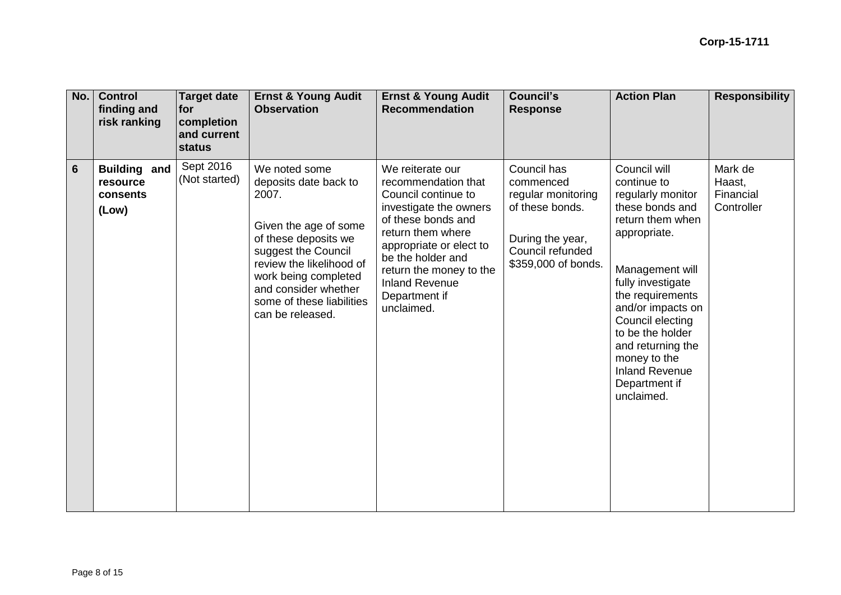| No.<br><b>Control</b><br>finding and<br>risk ranking                    | <b>Target date</b><br>for<br>completion<br>and current<br>status | <b>Ernst &amp; Young Audit</b><br><b>Observation</b>                                                                                                                                                                                                 | <b>Ernst &amp; Young Audit</b><br><b>Recommendation</b>                                                                                                                                                                                                                | <b>Council's</b><br><b>Response</b>                                                                                              | <b>Action Plan</b>                                                                                                                                                                                                                                                                                                            | <b>Responsibility</b>                        |
|-------------------------------------------------------------------------|------------------------------------------------------------------|------------------------------------------------------------------------------------------------------------------------------------------------------------------------------------------------------------------------------------------------------|------------------------------------------------------------------------------------------------------------------------------------------------------------------------------------------------------------------------------------------------------------------------|----------------------------------------------------------------------------------------------------------------------------------|-------------------------------------------------------------------------------------------------------------------------------------------------------------------------------------------------------------------------------------------------------------------------------------------------------------------------------|----------------------------------------------|
| $6\phantom{1}6$<br><b>Building and</b><br>resource<br>consents<br>(Low) | Sept 2016<br>(Not started)                                       | We noted some<br>deposits date back to<br>2007.<br>Given the age of some<br>of these deposits we<br>suggest the Council<br>review the likelihood of<br>work being completed<br>and consider whether<br>some of these liabilities<br>can be released. | We reiterate our<br>recommendation that<br>Council continue to<br>investigate the owners<br>of these bonds and<br>return them where<br>appropriate or elect to<br>be the holder and<br>return the money to the<br><b>Inland Revenue</b><br>Department if<br>unclaimed. | Council has<br>commenced<br>regular monitoring<br>of these bonds.<br>During the year,<br>Council refunded<br>\$359,000 of bonds. | Council will<br>continue to<br>regularly monitor<br>these bonds and<br>return them when<br>appropriate.<br>Management will<br>fully investigate<br>the requirements<br>and/or impacts on<br>Council electing<br>to be the holder<br>and returning the<br>money to the<br><b>Inland Revenue</b><br>Department if<br>unclaimed. | Mark de<br>Haast,<br>Financial<br>Controller |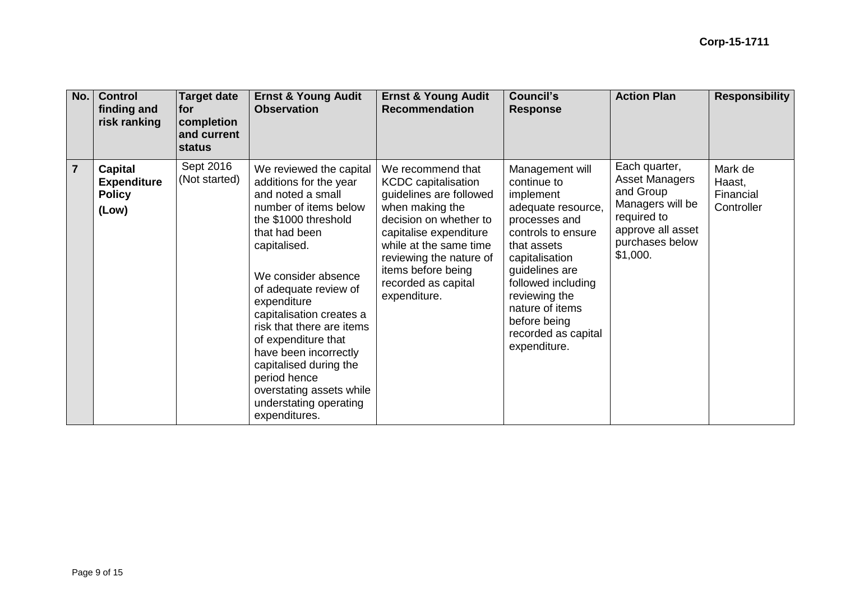| No.            | <b>Control</b><br>finding and<br>risk ranking                  | Target date<br>lfor.<br>completion<br>and current<br><b>status</b> | <b>Ernst &amp; Young Audit</b><br><b>Observation</b>                                                                                                                                                                                                                                                                                                                                                                                              | <b>Ernst &amp; Young Audit</b><br><b>Recommendation</b>                                                                                                                                                                                                             | <b>Council's</b><br><b>Response</b>                                                                                                                                                                                                                                          | <b>Action Plan</b>                                                                                                                         | <b>Responsibility</b>                        |
|----------------|----------------------------------------------------------------|--------------------------------------------------------------------|---------------------------------------------------------------------------------------------------------------------------------------------------------------------------------------------------------------------------------------------------------------------------------------------------------------------------------------------------------------------------------------------------------------------------------------------------|---------------------------------------------------------------------------------------------------------------------------------------------------------------------------------------------------------------------------------------------------------------------|------------------------------------------------------------------------------------------------------------------------------------------------------------------------------------------------------------------------------------------------------------------------------|--------------------------------------------------------------------------------------------------------------------------------------------|----------------------------------------------|
| $\overline{7}$ | <b>Capital</b><br><b>Expenditure</b><br><b>Policy</b><br>(Low) | Sept 2016<br>(Not started)                                         | We reviewed the capital<br>additions for the year<br>and noted a small<br>number of items below<br>the \$1000 threshold<br>that had been<br>capitalised.<br>We consider absence<br>of adequate review of<br>expenditure<br>capitalisation creates a<br>risk that there are items<br>of expenditure that<br>have been incorrectly<br>capitalised during the<br>period hence<br>overstating assets while<br>understating operating<br>expenditures. | We recommend that<br><b>KCDC</b> capitalisation<br>guidelines are followed<br>when making the<br>decision on whether to<br>capitalise expenditure<br>while at the same time<br>reviewing the nature of<br>items before being<br>recorded as capital<br>expenditure. | Management will<br>continue to<br>implement<br>adequate resource,<br>processes and<br>controls to ensure<br>that assets<br>capitalisation<br>guidelines are<br>followed including<br>reviewing the<br>nature of items<br>before being<br>recorded as capital<br>expenditure. | Each quarter,<br><b>Asset Managers</b><br>and Group<br>Managers will be<br>required to<br>approve all asset<br>purchases below<br>\$1,000. | Mark de<br>Haast,<br>Financial<br>Controller |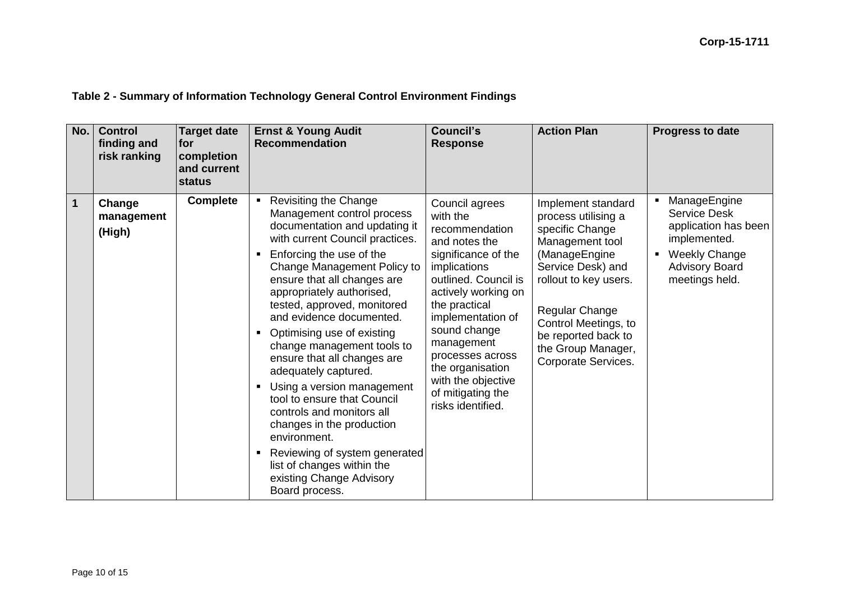# **Table 2 - Summary of Information Technology General Control Environment Findings**

| No.          | <b>Control</b><br>finding and<br>risk ranking | <b>Target date</b><br>for<br>completion<br>and current<br><b>status</b> | <b>Ernst &amp; Young Audit</b><br><b>Recommendation</b>                                                                                                                                                                                                                                                                                                                                                                                                                                                                                                                                                                                                                                                             | <b>Council's</b><br><b>Response</b>                                                                                                                                                                                                                                                                                             | <b>Action Plan</b>                                                                                                                                                                                                                                           | <b>Progress to date</b>                                                                                                                                  |
|--------------|-----------------------------------------------|-------------------------------------------------------------------------|---------------------------------------------------------------------------------------------------------------------------------------------------------------------------------------------------------------------------------------------------------------------------------------------------------------------------------------------------------------------------------------------------------------------------------------------------------------------------------------------------------------------------------------------------------------------------------------------------------------------------------------------------------------------------------------------------------------------|---------------------------------------------------------------------------------------------------------------------------------------------------------------------------------------------------------------------------------------------------------------------------------------------------------------------------------|--------------------------------------------------------------------------------------------------------------------------------------------------------------------------------------------------------------------------------------------------------------|----------------------------------------------------------------------------------------------------------------------------------------------------------|
| $\mathbf{1}$ | Change<br>management<br>(High)                | <b>Complete</b>                                                         | • Revisiting the Change<br>Management control process<br>documentation and updating it<br>with current Council practices.<br>Enforcing the use of the<br>٠<br>Change Management Policy to<br>ensure that all changes are<br>appropriately authorised,<br>tested, approved, monitored<br>and evidence documented.<br>Optimising use of existing<br>$\blacksquare$<br>change management tools to<br>ensure that all changes are<br>adequately captured.<br>Using a version management<br>٠<br>tool to ensure that Council<br>controls and monitors all<br>changes in the production<br>environment.<br>Reviewing of system generated<br>٠<br>list of changes within the<br>existing Change Advisory<br>Board process. | Council agrees<br>with the<br>recommendation<br>and notes the<br>significance of the<br>implications<br>outlined. Council is<br>actively working on<br>the practical<br>implementation of<br>sound change<br>management<br>processes across<br>the organisation<br>with the objective<br>of mitigating the<br>risks identified. | Implement standard<br>process utilising a<br>specific Change<br>Management tool<br>(ManageEngine<br>Service Desk) and<br>rollout to key users.<br>Regular Change<br>Control Meetings, to<br>be reported back to<br>the Group Manager,<br>Corporate Services. | ManageEngine<br>٠<br><b>Service Desk</b><br>application has been<br>implemented.<br><b>Weekly Change</b><br>٠<br><b>Advisory Board</b><br>meetings held. |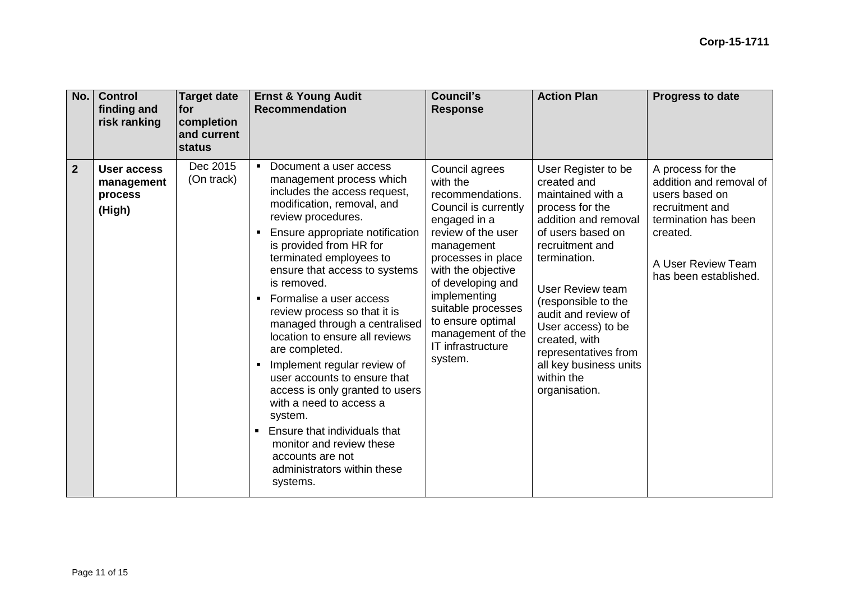| No.            | <b>Control</b><br>finding and<br>risk ranking         | <b>Target date</b><br><b>for</b><br>completion<br>and current<br>status | <b>Ernst &amp; Young Audit</b><br><b>Recommendation</b>                                                                                                                                                                                                                                                                                                                                                                                                                                                                                                                                                                                                                                                                 | <b>Council's</b><br><b>Response</b>                                                                                                                                                                                                                                                                         | <b>Action Plan</b>                                                                                                                                                                                                                                                                                                                                   | <b>Progress to date</b>                                                                                                                                              |
|----------------|-------------------------------------------------------|-------------------------------------------------------------------------|-------------------------------------------------------------------------------------------------------------------------------------------------------------------------------------------------------------------------------------------------------------------------------------------------------------------------------------------------------------------------------------------------------------------------------------------------------------------------------------------------------------------------------------------------------------------------------------------------------------------------------------------------------------------------------------------------------------------------|-------------------------------------------------------------------------------------------------------------------------------------------------------------------------------------------------------------------------------------------------------------------------------------------------------------|------------------------------------------------------------------------------------------------------------------------------------------------------------------------------------------------------------------------------------------------------------------------------------------------------------------------------------------------------|----------------------------------------------------------------------------------------------------------------------------------------------------------------------|
| $\overline{2}$ | <b>User access</b><br>management<br>process<br>(High) | Dec 2015<br>(On track)                                                  | • Document a user access<br>management process which<br>includes the access request,<br>modification, removal, and<br>review procedures.<br>Ensure appropriate notification<br>٠<br>is provided from HR for<br>terminated employees to<br>ensure that access to systems<br>is removed.<br>• Formalise a user access<br>review process so that it is<br>managed through a centralised<br>location to ensure all reviews<br>are completed.<br>Implement regular review of<br>٠<br>user accounts to ensure that<br>access is only granted to users<br>with a need to access a<br>system.<br><b>Ensure that individuals that</b><br>monitor and review these<br>accounts are not<br>administrators within these<br>systems. | Council agrees<br>with the<br>recommendations.<br>Council is currently<br>engaged in a<br>review of the user<br>management<br>processes in place<br>with the objective<br>of developing and<br>implementing<br>suitable processes<br>to ensure optimal<br>management of the<br>IT infrastructure<br>system. | User Register to be<br>created and<br>maintained with a<br>process for the<br>addition and removal<br>of users based on<br>recruitment and<br>termination.<br>User Review team<br>(responsible to the<br>audit and review of<br>User access) to be<br>created, with<br>representatives from<br>all key business units<br>within the<br>organisation. | A process for the<br>addition and removal of<br>users based on<br>recruitment and<br>termination has been<br>created.<br>A User Review Team<br>has been established. |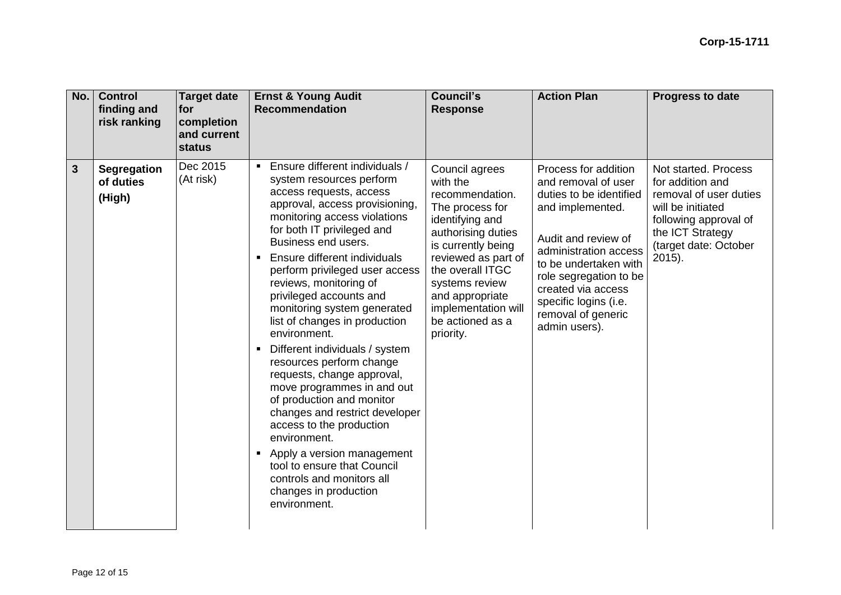| No. | <b>Control</b><br>finding and<br>risk ranking | <b>Target date</b><br>for<br>completion<br>and current<br><b>status</b> | <b>Ernst &amp; Young Audit</b><br><b>Recommendation</b>                                                                                                                                                                                                                                                                                                                                                                                                                                                                                                                                                                                                                                                                                                                                                                                           | Council's<br><b>Response</b>                                                                                                                                                                                                                                            | <b>Action Plan</b>                                                                                                                                                                                                                                                                  | <b>Progress to date</b>                                                                                                                                                 |
|-----|-----------------------------------------------|-------------------------------------------------------------------------|---------------------------------------------------------------------------------------------------------------------------------------------------------------------------------------------------------------------------------------------------------------------------------------------------------------------------------------------------------------------------------------------------------------------------------------------------------------------------------------------------------------------------------------------------------------------------------------------------------------------------------------------------------------------------------------------------------------------------------------------------------------------------------------------------------------------------------------------------|-------------------------------------------------------------------------------------------------------------------------------------------------------------------------------------------------------------------------------------------------------------------------|-------------------------------------------------------------------------------------------------------------------------------------------------------------------------------------------------------------------------------------------------------------------------------------|-------------------------------------------------------------------------------------------------------------------------------------------------------------------------|
| 3   | <b>Segregation</b><br>of duties<br>(High)     | Dec 2015<br>(At risk)                                                   | Ensure different individuals /<br>$\blacksquare$<br>system resources perform<br>access requests, access<br>approval, access provisioning,<br>monitoring access violations<br>for both IT privileged and<br>Business end users.<br>Ensure different individuals<br>$\blacksquare$<br>perform privileged user access<br>reviews, monitoring of<br>privileged accounts and<br>monitoring system generated<br>list of changes in production<br>environment.<br>Different individuals / system<br>resources perform change<br>requests, change approval,<br>move programmes in and out<br>of production and monitor<br>changes and restrict developer<br>access to the production<br>environment.<br>Apply a version management<br>$\blacksquare$<br>tool to ensure that Council<br>controls and monitors all<br>changes in production<br>environment. | Council agrees<br>with the<br>recommendation.<br>The process for<br>identifying and<br>authorising duties<br>is currently being<br>reviewed as part of<br>the overall ITGC<br>systems review<br>and appropriate<br>implementation will<br>be actioned as a<br>priority. | Process for addition<br>and removal of user<br>duties to be identified<br>and implemented.<br>Audit and review of<br>administration access<br>to be undertaken with<br>role segregation to be<br>created via access<br>specific logins (i.e.<br>removal of generic<br>admin users). | Not started. Process<br>for addition and<br>removal of user duties<br>will be initiated<br>following approval of<br>the ICT Strategy<br>(target date: October<br>2015). |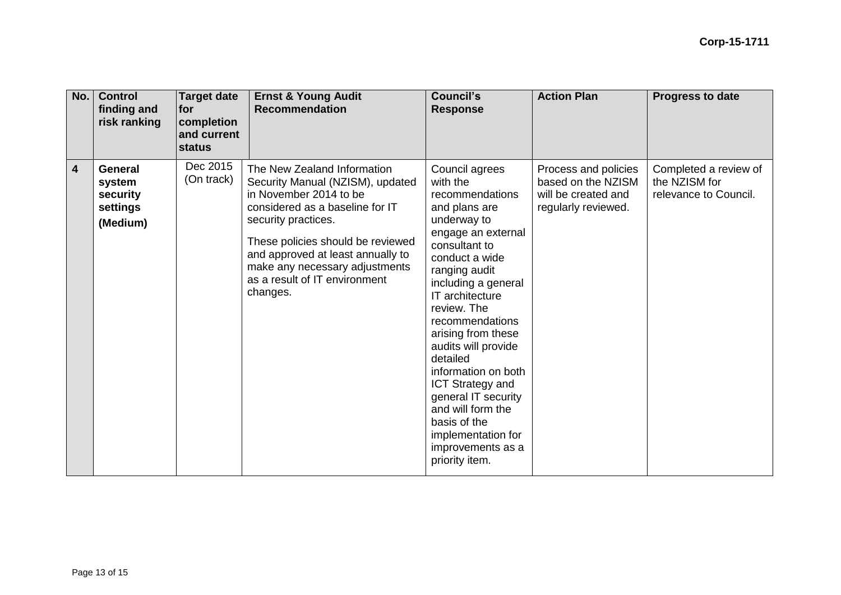| No.                     | <b>Control</b><br>finding and<br>risk ranking                | <b>Target date</b><br><b>for</b><br>completion<br>and current<br>status | <b>Ernst &amp; Young Audit</b><br><b>Recommendation</b>                                                                                                                                                                                                                                                      | Council's<br><b>Response</b>                                                                                                                                                                                                                                                                                                                                                                                                                                            | <b>Action Plan</b>                                                                       | Progress to date                                                |
|-------------------------|--------------------------------------------------------------|-------------------------------------------------------------------------|--------------------------------------------------------------------------------------------------------------------------------------------------------------------------------------------------------------------------------------------------------------------------------------------------------------|-------------------------------------------------------------------------------------------------------------------------------------------------------------------------------------------------------------------------------------------------------------------------------------------------------------------------------------------------------------------------------------------------------------------------------------------------------------------------|------------------------------------------------------------------------------------------|-----------------------------------------------------------------|
| $\overline{\mathbf{4}}$ | <b>General</b><br>system<br>security<br>settings<br>(Medium) | Dec 2015<br>(On track)                                                  | The New Zealand Information<br>Security Manual (NZISM), updated<br>in November 2014 to be<br>considered as a baseline for IT<br>security practices.<br>These policies should be reviewed<br>and approved at least annually to<br>make any necessary adjustments<br>as a result of IT environment<br>changes. | Council agrees<br>with the<br>recommendations<br>and plans are<br>underway to<br>engage an external<br>consultant to<br>conduct a wide<br>ranging audit<br>including a general<br>IT architecture<br>review. The<br>recommendations<br>arising from these<br>audits will provide<br>detailed<br>information on both<br><b>ICT Strategy and</b><br>general IT security<br>and will form the<br>basis of the<br>implementation for<br>improvements as a<br>priority item. | Process and policies<br>based on the NZISM<br>will be created and<br>regularly reviewed. | Completed a review of<br>the NZISM for<br>relevance to Council. |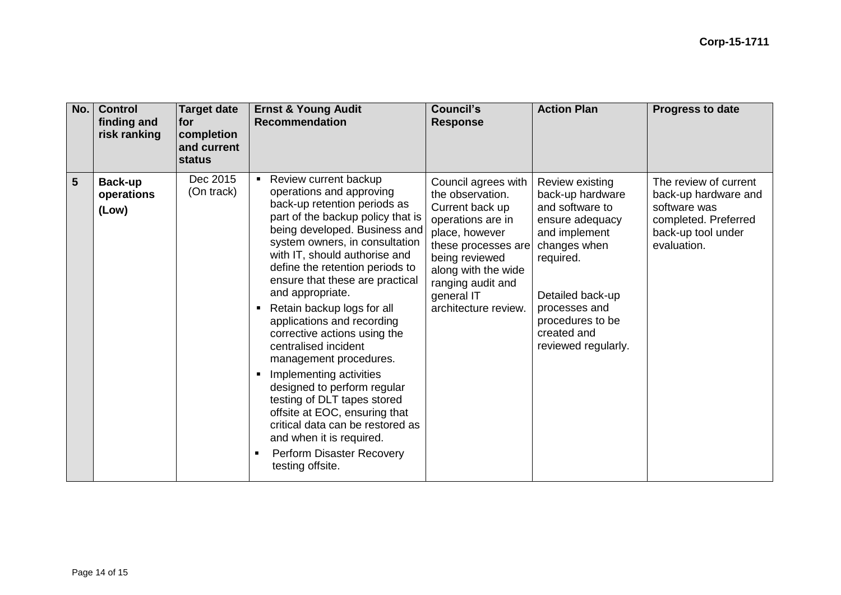| No. | <b>Control</b><br>finding and<br>risk ranking | <b>Target date</b><br><b>for</b><br>completion<br>and current<br><b>status</b> | <b>Ernst &amp; Young Audit</b><br><b>Recommendation</b>                                                                                                                                                                                                                                                                                                                                                                                                                                                                                                                                                                                                                                                                                                             | <b>Council's</b><br><b>Response</b>                                                                                                                                                                                          | <b>Action Plan</b>                                                                                                                                                                                                     | <b>Progress to date</b>                                                                                                    |
|-----|-----------------------------------------------|--------------------------------------------------------------------------------|---------------------------------------------------------------------------------------------------------------------------------------------------------------------------------------------------------------------------------------------------------------------------------------------------------------------------------------------------------------------------------------------------------------------------------------------------------------------------------------------------------------------------------------------------------------------------------------------------------------------------------------------------------------------------------------------------------------------------------------------------------------------|------------------------------------------------------------------------------------------------------------------------------------------------------------------------------------------------------------------------------|------------------------------------------------------------------------------------------------------------------------------------------------------------------------------------------------------------------------|----------------------------------------------------------------------------------------------------------------------------|
| 5   | Back-up<br>operations<br>(Low)                | Dec 2015<br>(On track)                                                         | Review current backup<br>$\blacksquare$<br>operations and approving<br>back-up retention periods as<br>part of the backup policy that is<br>being developed. Business and<br>system owners, in consultation<br>with IT, should authorise and<br>define the retention periods to<br>ensure that these are practical<br>and appropriate.<br>Retain backup logs for all<br>$\blacksquare$<br>applications and recording<br>corrective actions using the<br>centralised incident<br>management procedures.<br>Implementing activities<br>$\blacksquare$<br>designed to perform regular<br>testing of DLT tapes stored<br>offsite at EOC, ensuring that<br>critical data can be restored as<br>and when it is required.<br>Perform Disaster Recovery<br>testing offsite. | Council agrees with<br>the observation.<br>Current back up<br>operations are in<br>place, however<br>these processes are<br>being reviewed<br>along with the wide<br>ranging audit and<br>general IT<br>architecture review. | Review existing<br>back-up hardware<br>and software to<br>ensure adequacy<br>and implement<br>changes when<br>required.<br>Detailed back-up<br>processes and<br>procedures to be<br>created and<br>reviewed regularly. | The review of current<br>back-up hardware and<br>software was<br>completed. Preferred<br>back-up tool under<br>evaluation. |